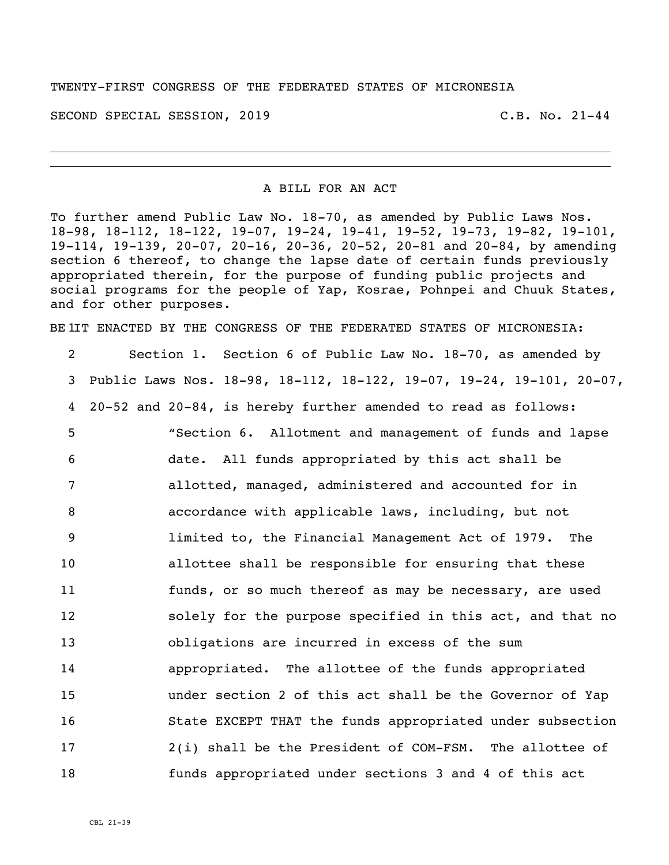## TWENTY-FIRST CONGRESS OF THE FEDERATED STATES OF MICRONESIA

SECOND SPECIAL SESSION, 2019 C.B. No. 21-44

## A BILL FOR AN ACT

To further amend Public Law No. 18-70, as amended by Public Laws Nos. 18-98, 18-112, 18-122, 19-07, 19-24, 19-41, 19-52, 19-73, 19-82, 19-101, 19-114, 19-139, 20-07, 20-16, 20-36, 20-52, 20-81 and 20-84, by amending section 6 thereof, to change the lapse date of certain funds previously appropriated therein, for the purpose of funding public projects and social programs for the people of Yap, Kosrae, Pohnpei and Chuuk States, and for other purposes.

BE IIT ENACTED BY THE CONGRESS OF THE FEDERATED STATES OF MICRONESIA:

 Section 1. Section 6 of Public Law No. 18-70, as amended by Public Laws Nos. 18-98, 18-112, 18-122, 19-07, 19-24, 19-101, 20-07, 20-52 and 20-84, is hereby further amended to read as follows: "Section 6. Allotment and management of funds and lapse date. All funds appropriated by this act shall be allotted, managed, administered and accounted for in accordance with applicable laws, including, but not limited to, the Financial Management Act of 1979. The allottee shall be responsible for ensuring that these funds, or so much thereof as may be necessary, are used solely for the purpose specified in this act, and that no obligations are incurred in excess of the sum appropriated. The allottee of the funds appropriated under section 2 of this act shall be the Governor of Yap State EXCEPT THAT the funds appropriated under subsection 2(i) shall be the President of COM-FSM. The allottee of funds appropriated under sections 3 and 4 of this act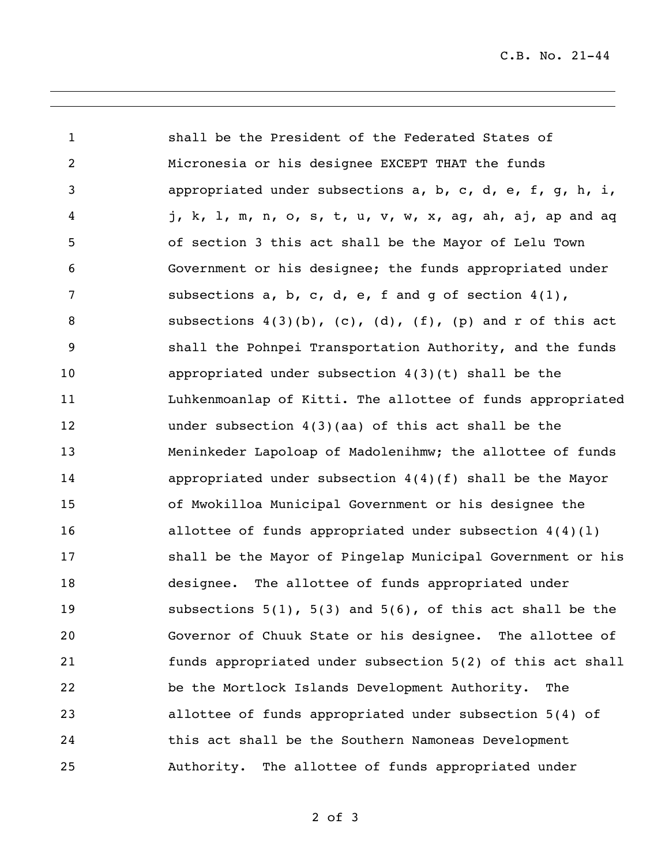C.B. No. 21-44

 shall be the President of the Federated States of Micronesia or his designee EXCEPT THAT the funds appropriated under subsections a, b, c, d, e, f, g, h, i, j, k, l, m, n, o, s, t, u, v, w, x, ag, ah, aj, ap and aq of section 3 this act shall be the Mayor of Lelu Town Government or his designee; the funds appropriated under subsections a, b, c, d, e, f and g of section 4(1), 8 subsections  $4(3)(b)$ , (c), (d), (f), (p) and r of this act shall the Pohnpei Transportation Authority, and the funds appropriated under subsection 4(3)(t) shall be the Luhkenmoanlap of Kitti. The allottee of funds appropriated under subsection 4(3)(aa) of this act shall be the Meninkeder Lapoloap of Madolenihmw; the allottee of funds appropriated under subsection 4(4)(f) shall be the Mayor of Mwokilloa Municipal Government or his designee the allottee of funds appropriated under subsection 4(4)(l) shall be the Mayor of Pingelap Municipal Government or his designee. The allottee of funds appropriated under subsections 5(1), 5(3) and 5(6), of this act shall be the Governor of Chuuk State or his designee. The allottee of funds appropriated under subsection 5(2) of this act shall be the Mortlock Islands Development Authority. The allottee of funds appropriated under subsection 5(4) of this act shall be the Southern Namoneas Development Authority. The allottee of funds appropriated under